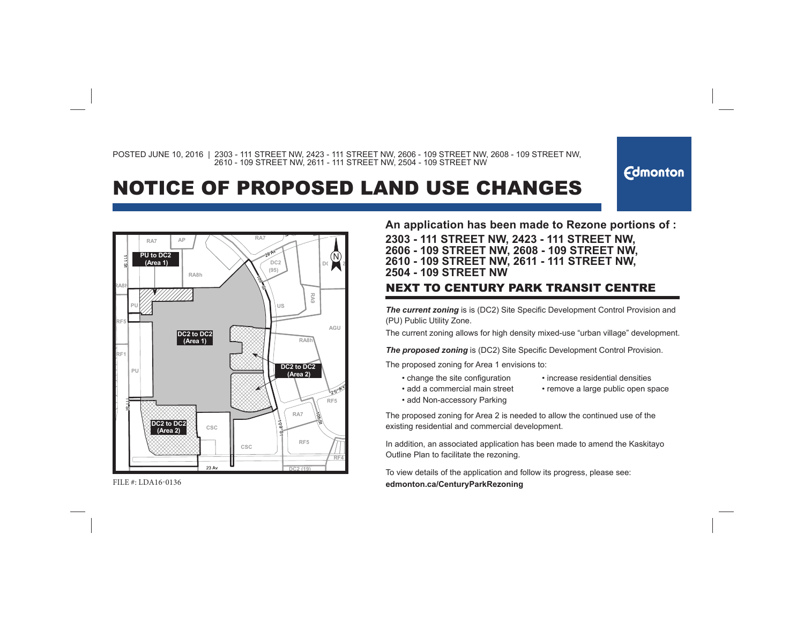## POSTED JUNE 10, 2016 | 2303 - 111 STREET NW, 2423 - 111 STREET NW, 2606 - 109 STREET NW, 2608 - 109 STREET NW, 2610 - 109 STREET NW, 2611 - 111 STREET NW, 2504 - 109 STREET NW

## NOTICE OF PROPOSED LAND USE CHANGES



**2303 - 111 STREET NW, 2423 - 111 STREET NW, 2606 - 109 STREET NW, 2608 - 109 STREET NW, 2610 - 109 STREET NW, 2611 - 111 STREET NW, 2504 - 109 STREET NW** NEXT TO CENTURY PARK TRANSIT CENTRE

**The current zoning** is is (DC2) Site Specific Development Control Provision and (PU) Public Utility Zone.

The current zoning allows for high density mixed-use "urban village" development.

**The proposed zoning** is (DC2) Site Specific Development Control Provision.

The proposed zoning for Area 1 envisions to:

- 
- 
- add a commercial main street
- change the site configuration increase residential densities
	-
- 
- add Non-accessory Parking
- remove a large public open space

**Edmonton** 

The proposed zoning for Area 2 is needed to allow the continued use of the existing residential and commercial development.

In addition, an associated application has been made to amend the Kaskitayo Outline Plan to facilitate the rezoning.

To view details of the application and follow its progress, please see:**edmonton.ca/CenturyParkRezoning**

**An application has been made to Rezone portions of :**